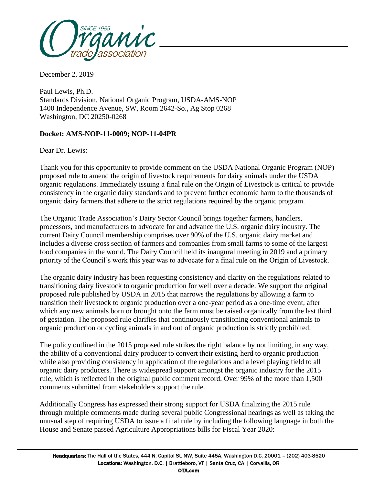

December 2, 2019

Paul Lewis, Ph.D. Standards Division, National Organic Program, USDA-AMS-NOP 1400 Independence Avenue, SW, Room 2642-So., Ag Stop 0268 Washington, DC 20250-0268

## **Docket: AMS-NOP-11-0009; NOP-11-04PR**

Dear Dr. Lewis:

Thank you for this opportunity to provide comment on the USDA National Organic Program (NOP) proposed rule to amend the origin of livestock requirements for dairy animals under the USDA organic regulations. Immediately issuing a final rule on the Origin of Livestock is critical to provide consistency in the organic dairy standards and to prevent further economic harm to the thousands of organic dairy farmers that adhere to the strict regulations required by the organic program.

The Organic Trade Association's Dairy Sector Council brings together farmers, handlers, processors, and manufacturers to advocate for and advance the U.S. organic dairy industry. The current Dairy Council membership comprises over 90% of the U.S. organic dairy market and includes a diverse cross section of farmers and companies from small farms to some of the largest food companies in the world. The Dairy Council held its inaugural meeting in 2019 and a primary priority of the Council's work this year was to advocate for a final rule on the Origin of Livestock.

The organic dairy industry has been requesting consistency and clarity on the regulations related to transitioning dairy livestock to organic production for well over a decade. We support the original proposed rule published by USDA in 2015 that narrows the regulations by allowing a farm to transition their livestock to organic production over a one-year period as a one-time event, after which any new animals born or brought onto the farm must be raised organically from the last third of gestation. The proposed rule clarifies that continuously transitioning conventional animals to organic production or cycling animals in and out of organic production is strictly prohibited.

The policy outlined in the 2015 proposed rule strikes the right balance by not limiting, in any way, the ability of a conventional dairy producer to convert their existing herd to organic production while also providing consistency in application of the regulations and a level playing field to all organic dairy producers. There is widespread support amongst the organic industry for the 2015 rule, which is reflected in the original public comment record. Over 99% of the more than 1,500 comments submitted from stakeholders support the rule.

Additionally Congress has expressed their strong support for USDA finalizing the 2015 rule through multiple comments made during several public Congressional hearings as well as taking the unusual step of requiring USDA to issue a final rule by including the following language in both the House and Senate passed Agriculture Appropriations bills for Fiscal Year 2020: